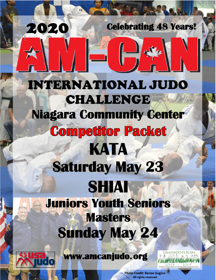**INTERNATIONAL JUDO CHALLENGE Niagara Community Center Competitor Packet KATA Saturday May 23 SHIAI Juniors Youth Seniors Masters Sunday May 24** 



2020

www.amcanjudo.org

**GRASSROOTS JUDO** 

**Photo Credit: Renee Gugino** All rights reserved

**Celebrating 48 Years!** 

 $H^{1/2}$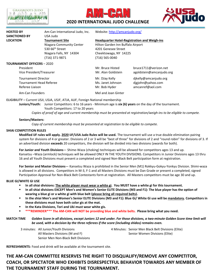





### **2020 INTERNATIONAL JUDO CHALLENGE**

| <b>HOSTED BY</b><br><b>SANCTIONED BY</b> | Am-Can International Judo, Inc.<br>USA Judo | Website: http://amcanjudo.org/                      |                          |  |  |
|------------------------------------------|---------------------------------------------|-----------------------------------------------------|--------------------------|--|--|
| <b>LOCATION</b>                          | <b>Tournament Site</b>                      | <b>Headquarter Hotel-Registration and Weigh-ins</b> |                          |  |  |
|                                          | Niagara Community Center                    | Hilton Garden Inn Buffalo Airport                   |                          |  |  |
|                                          | 530 66 <sup>th</sup> Street                 | 4201 Genesee Street                                 |                          |  |  |
|                                          | Niagara Falls, NY 14304                     | Cheektowaga, NY 14225                               |                          |  |  |
|                                          | (716) 371-9871                              | (716) 565-0040                                      |                          |  |  |
| <b>TOURNAMENT OFFICERS - 2020</b>        |                                             |                                                     |                          |  |  |
| President                                |                                             | Mr. Bruce Histed                                    | bruce1711@verizon.net    |  |  |
| Vice President/Treasurer                 |                                             | Mr. Alan Goldstein                                  | agoldstein@amcanjudo.org |  |  |
| <b>Tournament Director</b>               |                                             | Mr. DJay Kelly                                      | djkelly@amcanjudo.org    |  |  |
| Tournament Head Referee                  |                                             | Ms. Janet Johnson                                   | digiohn@yahoo.com        |  |  |
| Referee Liaison                          |                                             |                                                     | amcanref@aol.com         |  |  |
| Am-Can Founders                          |                                             | Mel and Joan Ginter                                 |                          |  |  |

**ELIGIBILITY –** Current USJI, USJA, USJF, ATJA, AJJF, Foreign National membership

**Juniors/Youth:** Junior Competitors: 6 to 16 years ‐ Minimum age is **six (6) years** on the day of the tournament. Youth Competitors: 17 to 20 years

Copies of proof of age and current membership must be presented at registration/weigh-ins to be eligible to compete.

#### **Seniors/Masters:**

*Copy of current membership must be presented at registration to be eligible to compete.*

#### **SHIAI COMPETITION RULES**

**Modified IJF rules will apply. 2020 IJF/USA Judo Rules will be used.** The tournament will use a true double elimination pairing system for divisions of 4 or greater. Divisions of 2 or 3 will be "best of three" for divisions of 2 and "round robin" for divisions of 3. If an advertised division **exceeds** 20 competitors, the division will be divided into two divisions (awards for both).

**For Junior and Youth Divisions**— Shime‐Waza (choking) techniques will be allowed for competitors ages 13 and up. Kansetsu –Waza (armlock) techniques will be allowed ONLY IN THE YOUTH DIVISIONS. Competitors in Junior Divisions ages 13 thru 16 and all Youth Divisions must present a completed and signed Non‐Black Belt participation form at registration.

**For Senior and Master Divisions**— Kansetsu Waza is prohibited in the Senior Men (M1) Rokkyu‐Gokyu‐Yonkyu Division. Shimi‐waza is allowed in all divisions. Competitors in M‐3, F‐1 and all Masters Divisions must be Dan Grade or present a completed, signed Participation Approval for Non‐Black Belt Contestants form at registration. All Masters competitors must be age 30 and up.

#### **BLUE GI/WHITE GI USE**

- In all shiai divisions: The white player must wear a white gi. You MUST have a white gi for this tournament.
- In all shiai divisions EXCEPT Men's and Women's Senior ELITE Divisions (M3 and F1): The blue player has the option of **wearing a blue gi or a white gi with blue belt (please bring all required belts).**
- In the shiai Men's and Women's Senior ELITE Divisions (M3 and F1): Blue Gi/ White Gi use will be mandatory. Competitors in **these divisions must have both color gis at the mat.**
- **In the Kata Divisions, Tori and Uki must wear white gis.**
- \*\*\*REMINDER\*\*\* The AM-CAN will NOT be providing blue and white belts. Please bring what you need.

#### MATCH TIME Golden Score in all divisions, except Juniors 12 and under. For those divisions, a two-minute Golden Score time limit will *be used, with a decision by the three referees if the score (including shidos) remains even.*

3 minutes: All Junior/Youth Divisions All Masters Divisions (M and F) Senior Men Non‐Black Belt Divisions 4 Minutes: Senior Men Black Belt Divisions (Elite) Senior Women Divisions (Elite)

**REFRESHMENTS:** Food and drink will be available at the tournament site.

### **THE AM‐CAN COMMITTEE RESERVES THE RIGHT TO DISQUALIFY/REMOVE ANY COMPETITOR, COACH, OR SPECTATOR WHO EXHIBITS DISRESPECTFUL BEHAVIOR TOWARDS ANY MEMBER OF THE TOURNAMENT STAFF DURING THE TOURNAMENT.**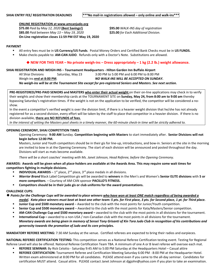SHIAI ENTRY FEE/ REGISTRATION DEADLINES  $***$ No mail-in registrations allowed – only online and walk-ins\*\*\*

### **ONLINE REGISTRATION at www.amcanjudo.org**

**\$75.00** *Paid by May 12, 2020* **(Best Savings!) \$85.00** *Paid between May 13 – May 19, 2020* **On‐Line registration closes 11:59 PM EST May 19, 2020** **\$95.00** *WALK‐INS day of registration* **\$25.00** *for Each Additional Division.*

#### **PAYMENT**

- All entry fees must be in **US Currency/US Funds**. Postal Money Orders and Certified Bank Checks must be in **US FUNDS.**
- Make checks payable to: **AM‐CAN JUDO**. Refunds only with a Doctor's Note. Substitutions are allowed.

#### $\blacklozenge$  NEW FOR THIS YEAR - No private weigh-ins - Dress appropriately - 1 kg (2.2 lb.) weight allowance.

**SHIAI REGISTRATION AND WEIGH‐INS** – **Tournament Headquarters ‐ Hilton Garden Inn Buffalo Airport**

All Shiai Divisions Saturday, May 23 3:00 PM to 5:00 PM and 6:00 PM to 8:00 PM Weigh‐ins **end at 8:00 PM**. *NO WALK‐INS WILL BE ACCEPTED ON SUNDAY.* No weigh-ins will be at the Tournament Site except for pre-registered Seniors and Masters. See next section.

**PRE‐REGISTERED/PRE‐PAID SENIORS and MASTERS who enter their actual weight** on their on‐line applications may check in to verify their weights and show their membership cards at the TOURNAMENT SITE on **Sunday, May 24, from 8:00 am to 9:00 am** thereby bypassing Saturday's registration times. If the weight is not on the application to be verified, the competitor will be considered a no‐ show.

In the event a competitor's verified weight is over the division limit, if there is a heavier weight division that he/she has not already registered for as a second division, every effort will be taken by the staff to place that competitor in a heavier division. If there is no division available, **there are NO REFUNDS of fees**.

In the interest of setting the Masters pool sheets in a timely manner, the 60-minute check-in time will be strictly adhered to.

#### **OPENING CEREMONY, SHIAI COMPETITION TIMES**

Opening Ceremony: **9:00 AM** Sunday. **Competition beginning with Masters** to start immediately after. **Senior Divisions will not begin before 12:00 PM.**

Masters, Junior and Youth competitors should be in their gis for line‐up, introductions, and bow‐in. Seniors at the site in the morning are invited to bow in at the Opening Ceremony. The start of each division will be announced and posted throughout the day. Divisions will start as mats become available.

*There will be a short coaches' meeting with Ms. Janet Johnson, Head Referee, before the Opening Ceremony.*

AWARDS: Awards will be given when all place-holders are available at the Awards Area. This may require some wait times for **competitors fighting in multiple divisions.**

- **INDIVIDUAL AWARDS**  $1^{st}$  place,  $2^{nd}$  place,  $3^{rd}$  place medals in all divisions.
- *Warrior Brand* Black Label Competition gis will be awarded to **winners** in the Men's and Women's **Senior ELITE divisions** with **5 or more competitors**. – Courtesy of AM‐CAN sponsor **PACILLO'S FITNESS.**
- **Competitors should be in their judo gis or club uniforms for the award presentations.**

#### **CHALLENGE CUPS:**

 $\blacklozenge$  Points for the Challenge Cups will be awarded to place winners who have won at least ONE match regardless of being awarded a medal. Kata place winners must beat at least one other team: 5 pts. for First place, 3 pts. for Second place, 1 pt. for Third place.

- **Junior Cup and \$500 monetary award** Awarded to the club with the most points for Junior/Youth competition.
- **Senior Cup and \$500 monetary award** Awarded to the club with the most points for Kata/Masters/Senior competition.
- **AM‐CAN Challenge Cup and \$500 monetary award –** awarded to the club with the most points in all divisions for the tournament.
- **International Cup** awarded to a non-USA / non-Canadian club with the most points in all divisions for the tournament. Monetary awards are being given in memory of Sensei Tony Grisanti of Kin Tora Judo Club in recognition of his contributions and *generosity towards the promotion of Judo and its core principles.*

**MANDATORY REFEREE MEETING:** 7:30 AM Sunday at the venue. Certified referees are expected to bring their radios and earpieces.

**NATIONAL REFEREE CERTIFICATION TESTING:** This competition serves as a National Referee Certification testing event. Testing for Regional Referee Level will also be offered. National Referee Certification Team TBA. A minimum of one A or B level referee will oversee each mat.

- **REFEREE SEMINAR:** By Rick Celotto ‐ Saturday 9:45 AM to 5:00 PM Saturday at the Headquarters Hotel Casual attire
- **REFEREE CERTIFICATION:** Tournament Referee and Certification Meeting Saturday 6:00 PM ‐ 8:00 PM at the Headquarter Hotel. Written exam administered at 8:00 PM for all candidates. PLEASE attend even if you came to the all‐day seminar. Candidates for certification MUST attend. Casual attire. PLEASE contact Janet Johnson at djgjohn@yahoo.com if you plan to take an examination.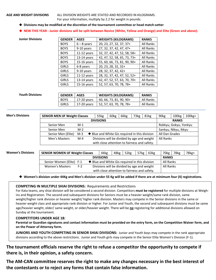**AGE AND WEIGHT DIVISIONS** ALL DIVISION WEIGHTS ARE STATED AND RECORDED IN KILOGRAMS. For your information, multiply by 2.2 for weight in pounds.

- **Divisions may be modified at the discretion of the tournament committee or head match‐setter**
- ◆ NEW THIS YEAR Junior divisions will be split between Novice (White, Yellow and Orange) and Elite (Green and above).

| <b>Junior Divisions</b> | <b>GENDER</b> | <b>AGES</b>   | <b>WEIGHTS (KILOGRAMS)</b>  | <b>RANKS</b> |
|-------------------------|---------------|---------------|-----------------------------|--------------|
|                         | <b>BOYS</b>   | $6 - 8$ years | 20, 23, 27, 32, 37, 37+     | All Ranks    |
|                         | <b>BOYS</b>   | 9-10 years    | 27, 32, 37, 42, 47, 47+     | All Ranks    |
|                         | <b>BOYS</b>   | $11-12$ years | 32, 37, 42, 47, 52, 58, 58+ | All Ranks    |
|                         | <b>BOYS</b>   | $13-14$ years | 42, 47, 52, 58, 65, 73, 73+ | All Ranks    |
|                         | <b>BOYS</b>   | $15-16$ years | 55, 60, 66, 73, 81, 90, 90+ | All Ranks    |
|                         | <b>GIRLS</b>  | 6-8 years     | 20, 23, 28, 32, 32+         | All Ranks    |
|                         | <b>GIRLS</b>  | 9-10 years    | 28, 32, 37, 42, 42+         | All Ranks    |
|                         | <b>GIRLS</b>  | $11-12$ years | 28, 32, 37, 42, 47, 52, 52+ | All Ranks    |
|                         | <b>GIRLS</b>  | $13-14$ years | 42, 47, 52, 57, 63, 70, 70+ | All Ranks    |
|                         | <b>GIRLS</b>  | $15-16$ years | 52, 57, 63, 70, 78, 78+     | All Ranks    |

| <b>Youth Divisions</b> | <b>GENDER</b> | <b>AGES</b> | <b>WEIGHTS (KILOGRAMS)</b> | <b>RANKS</b> |
|------------------------|---------------|-------------|----------------------------|--------------|
|                        | <b>BOYS</b>   | 17-20 vears | 60, 66, 73, 81, 90, 90+    | All Ranks    |
|                        | <b>GIRLS</b>  | 17-20 vears | 52, 57, 63, 70, 78, 78+    | All Ranks    |

| <b>Men's Divisions</b> | <b>SENIOR MEN IJF Weight Classes</b> |       |                                                              | 55kg                                         | 60kg | 66kg | 73kg | 81kg           | 90kg                 | 100kg                 | $100kg+$ |
|------------------------|--------------------------------------|-------|--------------------------------------------------------------|----------------------------------------------|------|------|------|----------------|----------------------|-----------------------|----------|
|                        | <b>DIVISIONS</b>                     |       |                                                              |                                              |      |      |      |                | <b>RANKS</b>         |                       |          |
| Senior Men<br>$M-1$    |                                      |       |                                                              |                                              |      |      |      |                |                      | Rokkyu, Gokyu, Yonkyu |          |
|                        | Senior Men                           | $M-2$ |                                                              |                                              |      |      |      |                | Sankyu, Nikyu, Ikkyu |                       |          |
|                        | Senior Men (Elite)                   | $M-3$ | $\blacklozenge$ Blue and White Gis required in this division |                                              |      |      |      | All Dan Grades |                      |                       |          |
|                        | Men's Masters<br>$M-4$               |       |                                                              | Divisions will be divided by age and weight  |      |      |      | All Ranks      |                      |                       |          |
|                        |                                      |       |                                                              | with close attention to fairness and safety. |      |      |      |                |                      |                       |          |

#### **Women's Division**

| ns. | <b>SENIOR WOMEN IJF Weight Classes</b>                                     |  |  | 44kg                                                                                        | 48kg | 52kg | 57kg      | 63kg | 70kg         | 78kg | 78kg+ |
|-----|----------------------------------------------------------------------------|--|--|---------------------------------------------------------------------------------------------|------|------|-----------|------|--------------|------|-------|
|     | <b>DIVISIONS</b>                                                           |  |  |                                                                                             |      |      |           |      | <b>RANKS</b> |      |       |
|     | ♦ Blue and White Gis required in this division<br>Senior Women (Elite) F-1 |  |  |                                                                                             |      |      |           |      | All Ranks    |      |       |
|     | <b>Women's Masters</b>                                                     |  |  | Divisions will be divided by age and weight<br>with close attention to fairness and safety. |      |      | All Ranks |      |              |      |       |

◆ Women's division under 44Kg and Men's division under 55 Kg will be added if there are at minimum four (4) registrations.

#### **COMPETING IN MULTIPLE SHIAI DIVISIONS:** Requirements and Restrictions

For Kata teams, any shiai division will be considered a second division. Competitors **must be registered** for multiple divisions at Weigh‐ ins and Registration. The second and subsequent divisions for Seniors must be a heavier weight/same rank division, same weight/higher rank division or heavier weight/ higher rank division. Masters may compete in the Senior divisions in the same or heavier weight class and appropriate rank division or higher. For Junior and Youth, the second and subsequent divisions must be same age/heavier weight, older/ same weight, or older/heavier weight. There will be **no** registering for additional divisions allowed on Sunday at the tournament.

#### **COMPETITORS UNDER AGE 18:**

Parental or Guardian signatures and contact information must be provided on the entry form, on the Competition Waiver form, and **on the Power of Attorney form.** 

**JUNIORS AND YOUTH COMPETING IN SENIOR SHIAI DIVISIONS:** Junior and Youth boys may compete in the rank appropriate divisions according to the above restrictions. Junior and Youth girls may compete in the Senior Elite Women's Division (F‐1).

**The tournament officials reserve the right to refuse a competitor the opportunity to compete if there is, in their opinion, a safety concern.** 

**The AM‐CAN committee reserves the right to make any changes necessary in the best interest of the contestants or to reject any forms that contain false information.**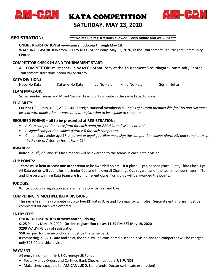

KATA COMPETITION



# **SATURDAY, MAY 23, 2020**

#### **REGISTRATION: \*\*\*No mail‐in registrations allowed – only online and walk‐ins\*\*\***

#### **ONLINE REGISTRATION at www.amcanjudo.org through May 19.**

**WALK‐IN REGISTRATION** from 3:00 to 4:00 PM Saturday, May 23, 2020, at the Tournament Site: Niagara Community Center.

### **COMPETITOR CHECK‐IN AND TOURNAMENT START:**

ALL COMPETITORS must check in by 4:00 PM Saturday at the Tournament Site: Niagara Community Center. Tournament start time is 5:00 PM Saturday.

#### **KATA DIVISIONS:**

Nage‐No‐Kata Katame‐No‐Kata Ju‐No‐Kata Kime‐No‐Kata Goshin‐Jutsu

#### **TEAM MAKE‐UP:**

Same Gender Teams and Mixed Gender Teams will compete in the same kata divisions.

#### **ELIGIBILITY:**

Current USJI, USJA, USJF, ATJA, AJJF, Foreign National membership. *Copies of current membership for Tori and Uki must be sent with application or presented at registration to be eligible to compete.* 

### **REQUIRED FORMS – all to be presented at REGISTRATION:**

- *A Kata competition entry form for each team for EACH kata division entered.*
- *A signed competition waiver (Form #3) for each competitor.*
- Competitors under age 18: *A parent or legal guardian must sign the competition waiver (Form #3) and complete/sign the Power of Attorney form (Form #5).*

#### **AWARDS:**

Individual  $1<sup>st</sup>$ ,  $2<sup>nd</sup>$ , and  $3<sup>rd</sup>$  Place medals will be awarded to the teams in each Kata division.

#### **CUP POINTS:**

Teams must **beat at least one other team** to be awarded points. First place: 5 pts, Second place: 3 pts, Third Place 1 pt. All Kata points will count for the Senior Cup and the overall Challenge Cup regardless of the team members' ages. If Tori and Uke on a winning Kata team are from different clubs, Tori's club will be awarded the points.

#### **JUDOGIS:**

**White** judogis in regulation size are mandatory for Tori and Uke

#### **COMPETING IN MULTIPLE KATA DIVISIONS:**

The **same team** may compete in up to **two (2) katas** (Uke and Tori may switch roles). Separate entry forms must be completed for each kata entered.

#### **ENTRY FEES:**

#### **ONLINE REGISTRATION at www.amcanjudo.org**

**\$125** Paid by May 19, 2020 ‐ **On‐line registration closes 11:59 PM EST May 19, 2020**

**\$200** WALK‐INS day of registration

**\$50** per pair for the second kata (must be the same pair).

If competing in BOTH kata and shiai, the shiai will be considered a second division and the competitor will be charged only \$25.00 per shiai division.

#### **PAYMENT:**

All entry fees must be in **US Currency/US Funds**

- Postal Money Orders and Certified Bank Checks must be in **US FUNDS**
- Make checks payable to: **AM‐CAN JUDO**. No refunds (Doctor certificate exemption)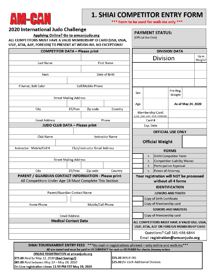

# **1. SHIAI COMPETITOR ENTRY FORM**

\*\*\* Form to be used for walk-ins only \*\*\*

### 2020 International Judo Challenge

Applying Online? Go to amcanjudo.org

ALL COMPETITORS MUST HAVE A VALID MEMBERSHIP ID CARD (USJI, USJA, USJF, ATJA, AJJF, FOREIGN) TO PRESENT AT WEIGH-INS. NO EXCEPTIONS!

### **PAYMENT STATUS:**

(Official Use Only)

|                                                                                                      | <b>COMPETITOR DATA - Please print</b> |                               |                        |     |                                                                                               | <b>DIVISION DATA</b>                |                    |                  |
|------------------------------------------------------------------------------------------------------|---------------------------------------|-------------------------------|------------------------|-----|-----------------------------------------------------------------------------------------------|-------------------------------------|--------------------|------------------|
|                                                                                                      |                                       |                               |                        |     | <b>Division</b>                                                                               |                                     |                    | Up in<br>Weight? |
| Last Name                                                                                            |                                       |                               | <b>First Name</b>      |     |                                                                                               |                                     |                    |                  |
|                                                                                                      |                                       |                               |                        |     |                                                                                               |                                     |                    |                  |
| Rank                                                                                                 |                                       |                               | Date of Birth          |     |                                                                                               |                                     |                    |                  |
|                                                                                                      |                                       |                               |                        |     |                                                                                               |                                     |                    |                  |
| If Junior, Belt Color                                                                                |                                       | Cell/Mobile Phone             |                        |     |                                                                                               |                                     |                    |                  |
|                                                                                                      |                                       |                               |                        | Sex |                                                                                               | Pre-Reg.                            |                    |                  |
|                                                                                                      | <b>Street Mailing Address</b>         |                               |                        |     |                                                                                               | Weight                              |                    |                  |
|                                                                                                      |                                       |                               |                        | Age |                                                                                               |                                     | As of May 24, 2020 |                  |
| City                                                                                                 | ST/Prov                               | Zip code                      | Country                |     |                                                                                               |                                     |                    |                  |
|                                                                                                      |                                       |                               |                        |     | Membership Card:<br>(USJI, USJA, USJF, ATJA, FOREIGN)                                         |                                     |                    |                  |
| <b>Email Address</b>                                                                                 |                                       |                               | Phone                  |     | Card #                                                                                        |                                     |                    |                  |
|                                                                                                      | JUDO CLUB DATA - Please print         |                               |                        |     | Exp. Date                                                                                     |                                     |                    |                  |
|                                                                                                      |                                       |                               |                        |     |                                                                                               | <b>OFFICIAL USE ONLY</b>            |                    |                  |
| Club Name                                                                                            |                                       |                               | <b>Instructor Name</b> |     |                                                                                               |                                     |                    |                  |
|                                                                                                      |                                       |                               |                        |     | <b>Official Weight</b>                                                                        |                                     |                    |                  |
| Instructor: Mobile/Cell #                                                                            |                                       | Club/Instructor Email Address |                        |     |                                                                                               | <b>FORMS</b>                        |                    |                  |
|                                                                                                      |                                       |                               |                        |     | 1.                                                                                            | <b>SHIAI Competitor Form</b>        |                    |                  |
|                                                                                                      | <b>Street Mailing Address</b>         |                               |                        |     | 3.                                                                                            | <b>Competition Liability Waiver</b> |                    |                  |
|                                                                                                      |                                       |                               |                        |     | 4.                                                                                            | Participation Approval              |                    |                  |
| City                                                                                                 | ST/Prov                               | Zip code                      | Country                |     | Power of Attorney<br>5.                                                                       |                                     |                    |                  |
| PARENT / GUARDIAN CONTACT INFORMATION - Please print                                                 |                                       |                               |                        |     | Your registration will NOT be processed                                                       |                                     |                    |                  |
| All Competitors Under Age 18 Must Complete This Section                                              |                                       |                               |                        |     |                                                                                               | without all 4 forms                 |                    |                  |
|                                                                                                      |                                       |                               |                        |     |                                                                                               | <b>IDENTIFICATION</b>               |                    |                  |
|                                                                                                      | Parent/Guardian Contact Name          |                               |                        |     |                                                                                               | <b>JUNIORS AND YOUTH</b>            |                    |                  |
|                                                                                                      |                                       |                               |                        |     | Copy of Birth Certificate                                                                     |                                     |                    |                  |
| Home Phone                                                                                           |                                       | Mobile/Cell Phone             |                        |     | Copy of Membership card                                                                       |                                     |                    |                  |
|                                                                                                      |                                       |                               |                        |     | <b>SENIORS AND MASTERS</b>                                                                    |                                     |                    |                  |
|                                                                                                      | <b>Email Address</b>                  |                               |                        |     | Copy of Membership card                                                                       |                                     |                    |                  |
|                                                                                                      | <b>Medical Contact Data</b>           |                               |                        |     | ALL COMPETITORS MUST HAVE A VALID USJI, USJA,                                                 |                                     |                    |                  |
|                                                                                                      |                                       |                               |                        |     | USJF, ATJA, AJJF OR FOREIGN MEMBERSHIP CARD                                                   |                                     |                    |                  |
|                                                                                                      |                                       |                               |                        |     | Questions? Call 585-498-6844                                                                  |                                     |                    |                  |
|                                                                                                      |                                       |                               |                        |     | Email registration@amcanjudo.org                                                              |                                     |                    |                  |
| <b>SHIAI TOURNAMENT ENTRY FEES</b> ***No mail-in registrations allowed - only online and walk-ins*** |                                       |                               |                        |     |                                                                                               |                                     |                    |                  |
|                                                                                                      |                                       |                               |                        |     | All are stated and must be paid in US CURRENCY for cash or US FUNDS for checks / money orders |                                     |                    |                  |
| <b>ONLINE REGISTRATION at amcanjudo.org</b><br>\$75.00 Paid by May 12, 2020 (Best Savings!)          |                                       |                               | \$95.00 WALK-INS       |     |                                                                                               |                                     |                    |                  |
|                                                                                                      |                                       |                               |                        |     |                                                                                               |                                     |                    |                  |

\$85.00 Paid between May 13 - May 19, 2020 On-Line registration closes 11:59 PM EST May 19, 2020 \$25.00 for Each Additional Division.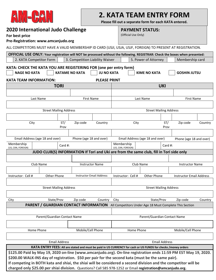

# **2. KATA TEAM ENTRY FORM**

**Please fill out a separate form for each KATA entered.**

### **2020 International Judo Challenge**

**For best price**

**Pre‐Registration: www.amcanjudo.org** 

**PAYMENT STATUS:**

(Official Use Only)

ALL COMPETITORS MUST HAVE A VALID MEMBERSHIP ID CARD (USJI, USJA, USJF, FOREIGN) TO PRESENT AT REGISTRATION.

OFFICIAL USE ONLY: Your registration will NOT be processed without the following. REGISTRAR: Check the boxes when presented: 2. KATA Competitor Form 3. Competition Liability Waiver 5. Power of Attorney Membership card **KATA: CHECK THE KATA YOU ARE REGISTERING FOR (one per entry form) NAGE NO KATA KATAME NO KATA JU NO KATA KIME NO KATA GOSHIN JUTSU**

|            | <b>UKI</b>                    |                     |  |  |  |
|------------|-------------------------------|---------------------|--|--|--|
|            |                               |                     |  |  |  |
| First Name | Last Name                     | First Name          |  |  |  |
|            |                               |                     |  |  |  |
|            | <b>Street Mailing Address</b> |                     |  |  |  |
|            |                               |                     |  |  |  |
|            | <b>Street Mailing Address</b> | <b>PLEASE PRINT</b> |  |  |  |

|            | City                            | ST/               | Zip code                | Countrv |            | Citv                            | ST/               | Zip code                | Country |
|------------|---------------------------------|-------------------|-------------------------|---------|------------|---------------------------------|-------------------|-------------------------|---------|
|            |                                 | Prov              |                         |         |            |                                 | Prov              |                         |         |
|            |                                 |                   |                         |         |            |                                 |                   |                         |         |
|            |                                 |                   |                         |         |            |                                 |                   |                         |         |
|            | Email Address (age 18 and over) |                   | Phone (age 18 and over) |         |            | Email Address (age 18 and over) |                   | Phone (age 18 and over) |         |
| Membership |                                 | $C$ ard # $\cdot$ |                         |         | Membership |                                 | $C$ ard # $\cdot$ |                         |         |

| (US, CAN, FOREIGN) | Caiu #. |                                                                                         | (US, CAN, FOREIGN) |  | Caiu #.         |  |
|--------------------|---------|-----------------------------------------------------------------------------------------|--------------------|--|-----------------|--|
|                    |         | JUDO CLUB(S) INFORMATION If Tori and Uki are from the same club, fill in Tori side only |                    |  |                 |  |
|                    |         |                                                                                         |                    |  |                 |  |
| Club Name          |         | Instructor Name                                                                         | Club Name          |  | Instructor Name |  |
|                    |         |                                                                                         |                    |  |                 |  |

| Instructor: Cell # | Other Phone                   | Instructor Email Address | Instructor: Cell # | Other Phone                   | <b>Instructor Email Address</b> |
|--------------------|-------------------------------|--------------------------|--------------------|-------------------------------|---------------------------------|
|                    |                               |                          |                    |                               |                                 |
|                    |                               |                          |                    |                               |                                 |
|                    | <b>Street Mailing Address</b> |                          |                    | <b>Street Mailing Address</b> |                                 |
|                    |                               |                          |                    |                               |                                 |

| City                                                                                                 | State/Prov | Zip code | Countrv | City | State/Prov | Zip code | Country |
|------------------------------------------------------------------------------------------------------|------------|----------|---------|------|------------|----------|---------|
| <b>PARENT / GUARDIAN CONTACT INFORMATION</b> All Competitors Under Age 18 Must Complete This Section |            |          |         |      |            |          |         |
|                                                                                                      |            |          |         |      |            |          |         |

| Parent/Guardian Contact Name | Parent/Guardian Contact Name |
|------------------------------|------------------------------|
|                              |                              |

Home Phone **Mobile/Cell Phone Home Phone** Home Phone **Mobile/Cell Phone** 

Email Address Email Address

KATA ENTRY FEES: All are stated and must be paid in US CURRENCY for cash or US FUNDS for checks /money orders

\$125.00 Paid by May 19, 2020 on-line (www.amcanjudo.org). On-line registration ends 11:59 PM EST May 19, 2020. \$200.00 WALK-INS day of registration. \$50 per pair for the second kata (must be the same pair). If competing in BOTH kata and shiai, the shiai will be considered a second division and the competitor will be **charged only \$25.00 per shiai division.**Questions? Call 585 978‐1252 or Email **registration@amcanjudo.org.**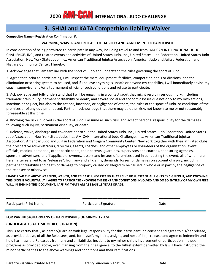# **3. SHIAI and KATA Competition Liability Waiver**

#### **Competitor Name ‐ Registration Confirmation #:**

#### **WARNING, WAIVER AND RELEASE OF LIABILITY AND AGREEMENT TO PARTICIPATE**

In consideration of being permitted to participate in any way, including travel to and from, AM‐CAN INTERNATIONAL JUDO CHALLENGE, INC., and related events and activities of United States Judo, Inc., United States Judo Federation, United States Judo Association, New York State Judo, Inc., American Traditional Jujutsu Association, American Judo and Jujitsu Federation and Niagara Community Center, I hereby:

1. Acknowledge that I am familiar with the sport of Judo and understand the rules governing the sport of Judo.

2. Agree that, prior to participating, I will inspect the mats, equipment, facilities, competition pools or divisions, and the elimination or scoring system to be used, and if I believe anything is unsafe or beyond my capability, I will immediately advise my coach, supervisor and/or a tournament official of such conditions and refuse to participate.

3. Acknowledge and fully understand that I will be engaging in a contact sport that might result in serious injury, including traumatic brain injury, permanent disability or death, and severe social and economic losses due not only to my own actions, inactions or neglect, but also to the actions, inactions, or negligence of others, the rules of the sport of Judo, or conditions of the premises or of any equipment used. Further I acknowledge that there may be other risks not known to me or not reasonably foreseeable at this time.

4. Knowing the risks involved in the sport of Judo, I assume all such risks and accept personal responsibility for the damages following such injury, permanent disability, or death.

5. Release, waive, discharge and covenant not to sue the United States Judo, Inc., United States Judo Federation, United States Judo Association, New York State Judo, Inc., AM‐CAN International Judo Challenge, Inc., American Traditional Jujutsu Association, American Judo and Jujitsu Federation and Niagara Community Center, New York together with their affiliated clubs, their respective administrators, directors, agents, coaches, and other employees or volunteers of the organization, event officials, medical personnel, other participants, their parents, guardians, supervisors and coaches, sponsoring agencies, sponsors, advertisers, and if applicable, owners, lessors and lessees of premises used in conducting the event, all of whom are hereinafter referred to as "releasee", from any and all claims, demands, losses, or damages on account of injury, including permanent disability and death or damage to property caused or alleged to be caused in whole or in part by the negligence of the releasee or otherwise

I HAVE READ THE ABOVE WARNING, WAIVER, AND RELEASE, UNDERSTAND THAT I GIVE UP SUBSTANTIAL RIGHTS BY SIGNING IT, AND KNOWING THIS, SIGN IT VOLUNTARILY. I AGREE TO PARTICIPATE KNOWING THE RISKS AND CONDITIONS INVOLVED AND DO SO ENTIRELY OF MY OWN FREE **WILL. IN SIGNING THIS DOCUMENT, I AFFIRM THAT I AM AT LEAST 18 YEARS OF AGE.**

Participant (Print Name) Participant Signature Date

**\_\_\_\_\_\_\_\_\_\_\_\_\_\_\_\_\_\_\_\_\_\_\_\_\_\_\_\_\_\_\_\_\_\_\_\_\_\_ \_\_\_\_\_\_\_\_\_\_\_\_\_\_\_\_\_\_\_\_\_\_\_\_\_\_\_\_\_\_\_\_\_\_\_\_\_\_\_\_ \_\_\_\_\_\_\_\_\_\_\_\_\_**

#### **FOR PARENTS/GUARDIANS OF PARTICIPANTS OF MINORITY AGE**

#### **(UNDER AGE 18 AT TIME OF REGISTRATION)**

This is to certify that I, as parent/guardian with legal responsibility for this participant, do consent and agree to his/her release, as provided above, of all the Releasees, and, for myself, my heirs, assigns, and next of kin, I release and agree to indemnify and hold harmless the Releasees from any and all liabilities incident to my minor child's involvement or participation in these programs as provided above, even if arising from their negligence, to the fullest extent permitted by law. I have instructed the minor participant as to the above warnings and conditions and their ramifications.

**\_\_\_\_\_\_\_\_\_\_\_\_\_\_\_\_\_\_\_\_\_\_\_\_\_\_\_\_\_\_\_\_\_\_\_\_\_\_ \_\_\_\_\_\_\_\_\_\_\_\_\_\_\_\_\_\_\_\_\_\_\_\_\_\_\_\_\_\_\_\_\_\_\_\_\_\_\_\_ \_\_\_\_\_\_\_\_\_\_\_\_\_**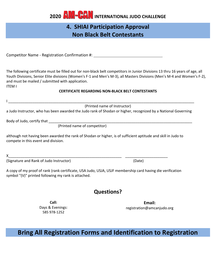**2020 INTERNATIONAL JUDO CHALLENGE**

# **4. SHIAI Participation Approval Non Black Belt Contestants**

Competitor Name - Registration Confirmation #: \_\_\_\_\_\_\_\_\_\_\_\_\_\_\_\_\_\_\_\_\_\_\_\_\_\_\_\_\_\_\_\_\_

The following certificate must be filled out for non‐black belt competitors in Junior Divisions 13 thru 16 years of age, all Youth Divisions, Senior Elite divisions (Women's F‐1 and Men's M‐3), all Masters Divisions (Men's M‐4 and Women's F‐2), and must be mailed / submitted with application. ITEM I

### **CERTIFICATE REGARDING NON‐BLACK BELT CONTESTANTS**

(Printed name of Instructor)

a Judo Instructor, who has been awarded the Judo rank of Shodan or higher, recognized by a National Governing

I \_\_\_\_\_\_\_\_\_\_\_\_\_\_\_\_\_\_\_\_\_\_\_\_\_\_\_\_\_\_\_\_\_\_\_\_\_\_\_\_\_\_\_\_\_\_\_\_\_\_\_\_\_\_\_\_\_\_\_\_\_\_\_\_\_\_\_\_\_\_\_\_\_\_\_\_\_\_\_\_\_\_\_\_\_\_\_\_\_\_\_\_

Body of Judo, certify that \_\_\_\_\_\_\_\_\_\_\_\_\_\_\_\_\_\_\_\_\_\_\_\_\_\_\_\_\_\_\_\_\_\_\_\_\_\_\_\_\_\_\_\_\_\_\_\_\_\_\_\_\_\_\_\_\_\_\_\_\_\_\_\_\_\_\_\_\_\_\_

(Printed name of competitor)

although not having been awarded the rank of Shodan or higher, is of sufficient aptitude and skill in Judo to compete in this event and division.

X\_\_\_\_\_\_\_\_\_\_\_\_\_\_\_\_\_\_\_\_\_\_\_\_\_\_\_\_\_\_\_\_\_\_\_\_\_\_\_\_\_\_\_\_\_\_\_\_\_\_\_\_\_\_\_\_ \_\_\_\_\_\_\_\_\_\_\_\_\_\_\_\_\_\_\_\_\_

(Signature and Rank of Judo Instructor) (Date)

A copy of my proof of rank (rank certificate, USA Judo, USJA, USJF membership card having die verification symbol "(V)" printed following my rank is attached.

## **Questions?**

**Call:** Days & Evenings: 585 978‐1252

**Email:** registration@amcanjudo.org

# **Bring All Registration Forms and Identification to Registration**